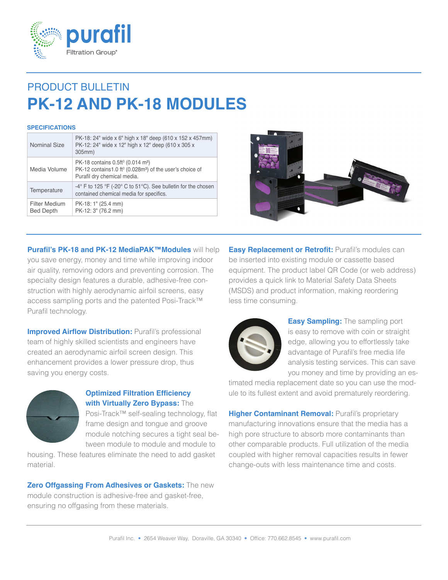

# PRODUCT BULLETIN **PK-12 AND PK-18 MODULES**

#### **SPECIFICATIONS**

| <b>Nominal Size</b>                      | PK-18: 24" wide x 6" high x 18" deep (610 x 152 x 457mm)<br>PK-12: 24" wide x 12" high x 12" deep (610 x 305 x<br>305mm)                                                     |
|------------------------------------------|------------------------------------------------------------------------------------------------------------------------------------------------------------------------------|
| Media Volume                             | PK-18 contains 0.5ft <sup>3</sup> (0.014 m <sup>3</sup> )<br>PK-12 contains1.0 ft <sup>3</sup> (0.028m <sup>3</sup> ) of the user's choice of<br>Purafil dry chemical media. |
| Temperature                              | $-4^{\circ}$ F to 125 $\degree$ F ( $-20^{\circ}$ C to 51 $\degree$ C). See bulletin for the chosen<br>contained chemical media for specifics.                               |
| <b>Filter Medium</b><br><b>Bed Depth</b> | PK-18: 1" (25.4 mm)<br>PK-12: 3" (76.2 mm)                                                                                                                                   |



**Purafil's PK-18 and PK-12 MediaPAK™Modules** will help you save energy, money and time while improving indoor air quality, removing odors and preventing corrosion. The specialty design features a durable, adhesive-free construction with highly aerodynamic airfoil screens, easy access sampling ports and the patented Posi-Track™ Purafil technology.

**Improved Airflow Distribution: Purafil's professional** team of highly skilled scientists and engineers have created an aerodynamic airfoil screen design. This enhancement provides a lower pressure drop, thus saving you energy costs.



### **Optimized Filtration Efficiency with Virtually Zero Bypass:** The

Posi-Track™ self-sealing technology, flat frame design and tongue and groove module notching secures a tight seal between module to module and module to

housing. These features eliminate the need to add gasket material.

**Zero Offgassing From Adhesives or Gaskets:** The new module construction is adhesive-free and gasket-free, ensuring no offgasing from these materials.

**Easy Replacement or Retrofit: Purafil's modules can** be inserted into existing module or cassette based equipment. The product label QR Code (or web address) provides a quick link to Material Safety Data Sheets (MSDS) and product information, making reordering less time consuming.



**Easy Sampling:** The sampling port is easy to remove with coin or straight edge, allowing you to effortlessly take advantage of Purafil's free media life analysis testing services. This can save you money and time by providing an es-

timated media replacement date so you can use the module to its fullest extent and avoid prematurely reordering.

**Higher Contaminant Removal: Purafil's proprietary** manufacturing innovations ensure that the media has a high pore structure to absorb more contaminants than other comparable products. Full utilization of the media coupled with higher removal capacities results in fewer change-outs with less maintenance time and costs.